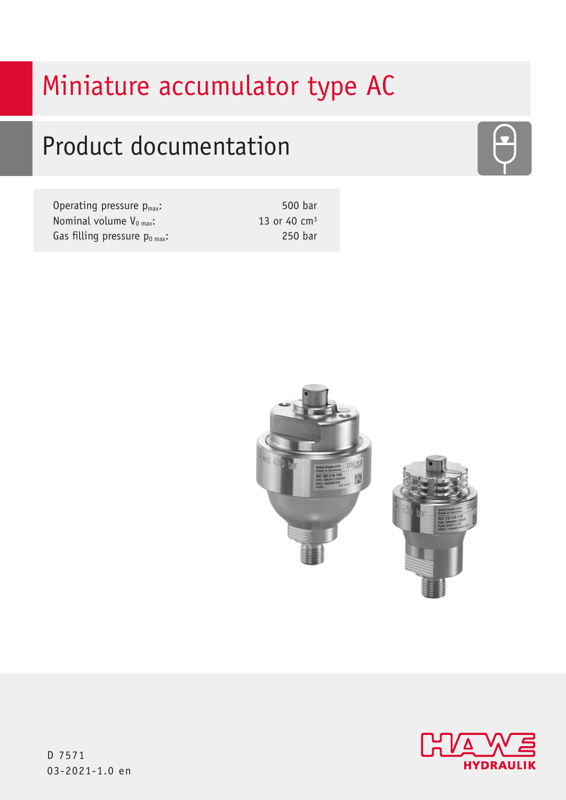# Miniature accumulator type AC

# Product documentation

| Operating pressure $p_{max}$ :     | 500 bar        |
|------------------------------------|----------------|
| Nominal volume $V_{0 max}$ :       | 13 or 40 $cm3$ |
| Gas filling pressure $p_{0 max}$ : | 250 bar        |





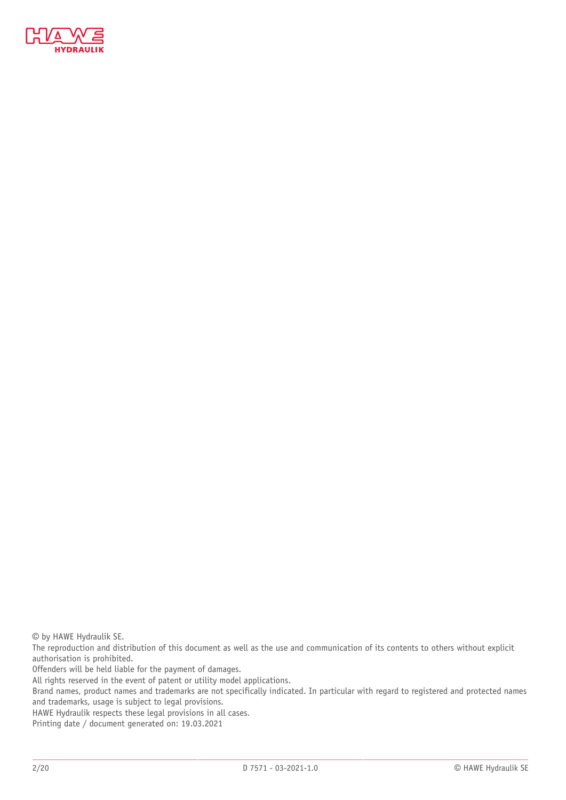

© by HAWE Hydraulik SE.

The reproduction and distribution of this document as well as the use and communication of its contents to others without explicit authorisation is prohibited.

Offenders will be held liable for the payment of damages.

All rights reserved in the event of patent or utility model applications.

Brand names, product names and trademarks are not specifically indicated. In particular with regard to registered and protected names and trademarks, usage is subject to legal provisions.

HAWE Hydraulik respects these legal provisions in all cases.

Printing date / document generated on: 19.03.2021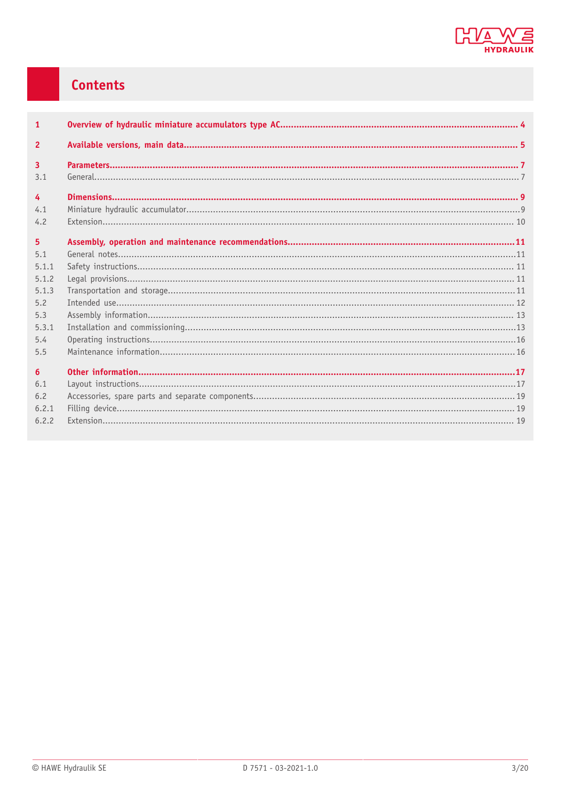

## Contents

| $\mathbf{1}$     |  |
|------------------|--|
| $\overline{2}$   |  |
| $\overline{3}$   |  |
| 3.1              |  |
| $\overline{4}$   |  |
| 4.1              |  |
| 4.2              |  |
| 5 <sup>1</sup>   |  |
| 5.1              |  |
| 5.1.1            |  |
| 5.1.2            |  |
| 5.1.3            |  |
| 5.2              |  |
| 5.3              |  |
| 5.3.1            |  |
| 5.4              |  |
| 5.5              |  |
| $6 \overline{6}$ |  |
| 6.1              |  |
| 6.2              |  |
| 6.2.1            |  |
| 6.2.2            |  |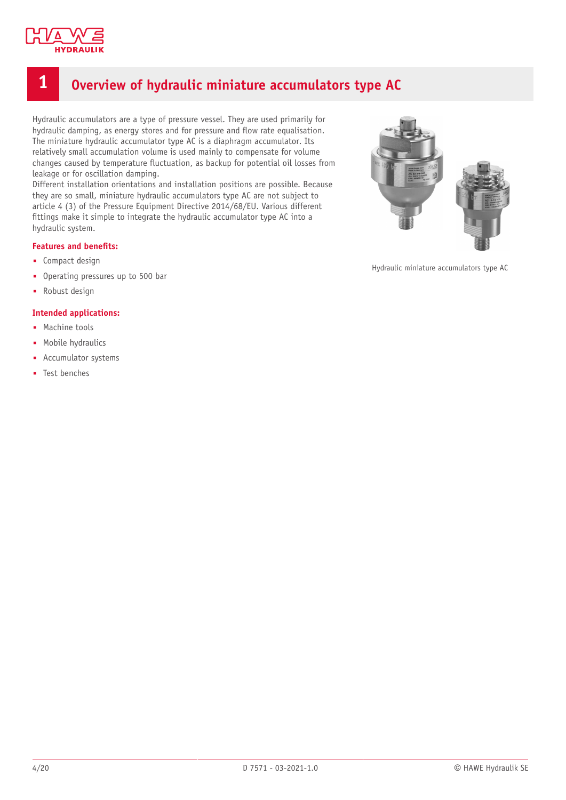

### <span id="page-3-0"></span>**1 Overview of hydraulic miniature accumulators type AC**

Hydraulic accumulators are a type of pressure vessel. They are used primarily for hydraulic damping, as energy stores and for pressure and flow rate equalisation. The miniature hydraulic accumulator type AC is a diaphragm accumulator. Its relatively small accumulation volume is used mainly to compensate for volume changes caused by temperature fluctuation, as backup for potential oil losses from leakage or for oscillation damping.

Different installation orientations and installation positions are possible. Because they are so small, miniature hydraulic accumulators type AC are not subject to article 4 (3) of the Pressure Equipment Directive 2014/68/EU. Various different fittings make it simple to integrate the hydraulic accumulator type AC into a hydraulic system.

#### **Features** and **benefits:**

- Compact design
- Operating pressures up to 500 bar
- Robust design

#### **Intended applications:**

- Machine tools
- Mobile hydraulics
- Accumulator systems
- Test benches



Hydraulic miniature accumulators type AC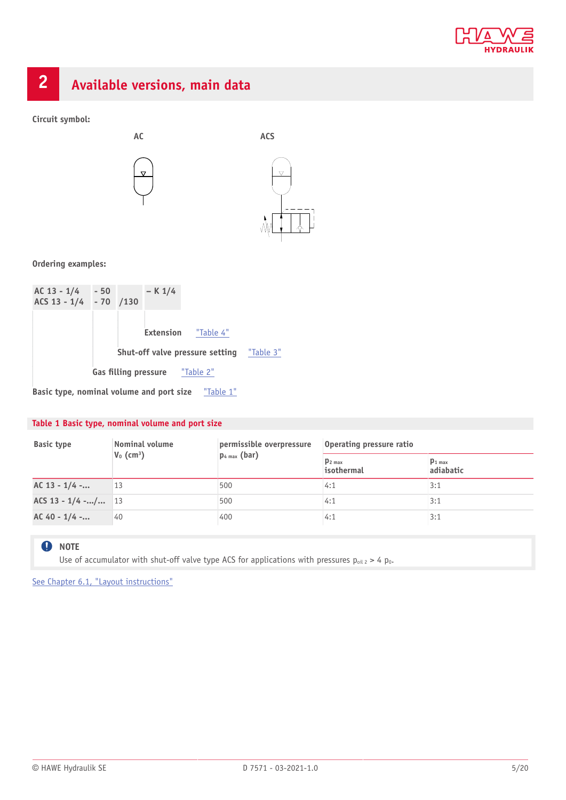

<span id="page-4-0"></span>

**Circuit symbol:**



#### **Ordering examples:**



#### <span id="page-4-1"></span>**Table 1 Basic type, nominal volume and port size**

| <b>Basic type</b>    | Nominal volume<br>$V_0$ (cm <sup>3</sup> ) | permissible overpressure<br>$p_{4 max}$ (bar) | Operating pressure ratio           |                          |
|----------------------|--------------------------------------------|-----------------------------------------------|------------------------------------|--------------------------|
|                      |                                            |                                               | $p_2$ <sub>max</sub><br>isothermal | $p_{1 max}$<br>adiabatic |
| $AC 13 - 1/4$ -      | 13                                         | 500                                           | 4:1                                | 3:1                      |
| ACS 13 - $1/4$ -/ 13 |                                            | 500                                           | 4:1                                | 3:1                      |
| $AC 40 - 1/4$ -      | 40                                         | 400                                           | 4:1                                | 3:1                      |

#### **Q** NOTE

Use of accumulator with shut-off valve type ACS for applications with pressures  $p_{oil 2} > 4 p_{0}$ .

[See Chapter 6.1, "Layout instructions"](#page-16-1)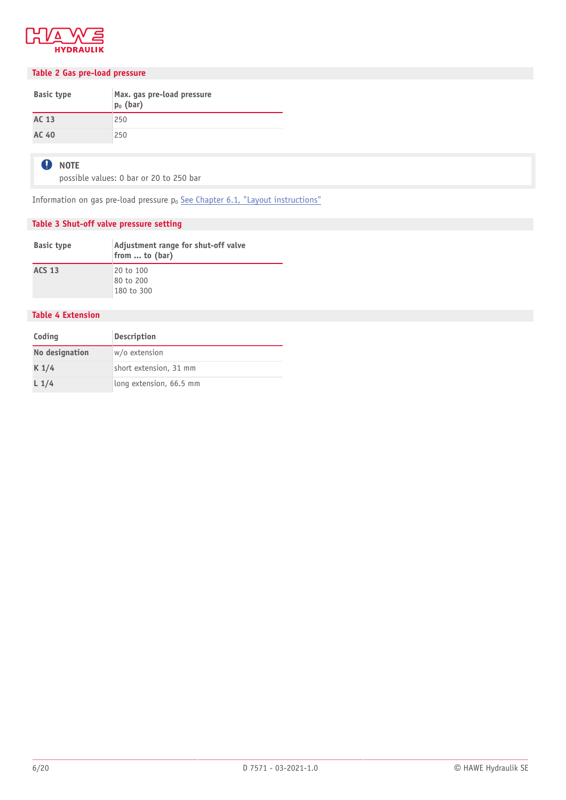

#### <span id="page-5-2"></span>**Table 2 Gas pre-load pressure**

| <b>Basic type</b> | Max. gas pre-load pressure<br>$p_0$ (bar) |
|-------------------|-------------------------------------------|
| AC 13             | 250                                       |
| AC 40             | 250                                       |

#### **O** NOTE

possible values: 0 bar or 20 to 250 bar

Information on gas pre-load pressure  $p_0$  [See Chapter 6.1, "Layout instructions"](#page-16-1)

#### <span id="page-5-1"></span>**Table 3 Shut-off valve pressure setting**

| <b>Basic type</b> | Adjustment range for shut-off valve<br>from  to (bar) |
|-------------------|-------------------------------------------------------|
| <b>ACS 13</b>     | 20 to 100<br>80 to 200                                |
|                   | 180 to 300                                            |

#### <span id="page-5-0"></span>**Table 4 Extension**

| Coding           | <b>Description</b>      |  |
|------------------|-------------------------|--|
| No designation   | w/o extension           |  |
| K <sub>1/4</sub> | short extension, 31 mm  |  |
| $L_1/4$          | long extension, 66.5 mm |  |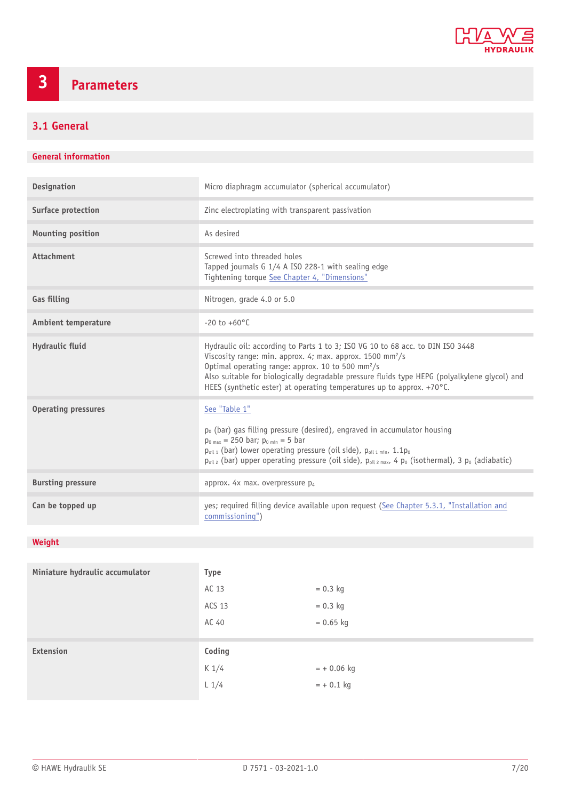

## <span id="page-6-0"></span>**3 Parameters**

### <span id="page-6-1"></span>**3.1 General**

#### **General information**

| <b>Designation</b>         | Micro diaphragm accumulator (spherical accumulator)                                                                                                                                                                                                                                                                                                                                                          |
|----------------------------|--------------------------------------------------------------------------------------------------------------------------------------------------------------------------------------------------------------------------------------------------------------------------------------------------------------------------------------------------------------------------------------------------------------|
| Surface protection         | Zinc electroplating with transparent passivation                                                                                                                                                                                                                                                                                                                                                             |
| <b>Mounting position</b>   | As desired                                                                                                                                                                                                                                                                                                                                                                                                   |
| <b>Attachment</b>          | Screwed into threaded holes<br>Tapped journals G 1/4 A ISO 228-1 with sealing edge<br>Tightening torque See Chapter 4, "Dimensions"                                                                                                                                                                                                                                                                          |
| <b>Gas filling</b>         | Nitrogen, grade 4.0 or 5.0                                                                                                                                                                                                                                                                                                                                                                                   |
| <b>Ambient temperature</b> | $-20$ to $+60^{\circ}$ C                                                                                                                                                                                                                                                                                                                                                                                     |
| Hydraulic fluid            | Hydraulic oil: according to Parts 1 to 3; ISO VG 10 to 68 acc. to DIN ISO 3448<br>Viscosity range: min. approx. 4; max. approx. 1500 mm <sup>2</sup> /s<br>Optimal operating range: approx. 10 to 500 mm <sup>2</sup> /s<br>Also suitable for biologically degradable pressure fluids type HEPG (polyalkylene glycol) and<br>HEES (synthetic ester) at operating temperatures up to approx. $+70^{\circ}$ C. |
| <b>Operating pressures</b> | See "Table 1"<br>$p_0$ (bar) gas filling pressure (desired), engraved in accumulator housing<br>$p_{0 max}$ = 250 bar; $p_{0 min}$ = 5 bar<br>$p_{oil 1}$ (bar) lower operating pressure (oil side), $p_{oil 1 min}$ , 1.1 $p_0$<br>$p_{oil 2}$ (bar) upper operating pressure (oil side), $p_{oil 2 max}$ , 4 $p_0$ (isothermal), 3 $p_0$ (adiabatic)                                                       |
| <b>Bursting pressure</b>   | approx. 4x max. overpressure p <sub>4</sub>                                                                                                                                                                                                                                                                                                                                                                  |
| Can be topped up           | yes; required filling device available upon request (See Chapter 5.3.1, "Installation and<br>commissioning")                                                                                                                                                                                                                                                                                                 |

### **Weight**

| Miniature hydraulic accumulator | <b>Type</b> |              |
|---------------------------------|-------------|--------------|
|                                 | AC 13       | $= 0.3$ kg   |
|                                 | ACS 13      | $= 0.3$ kg   |
|                                 | AC 40       | $= 0.65$ kg  |
|                                 |             |              |
| Extension                       | Coding      |              |
|                                 | K1/4        | $= +0.06$ kg |
|                                 | L1/4        | $= +0.1$ kg  |
|                                 |             |              |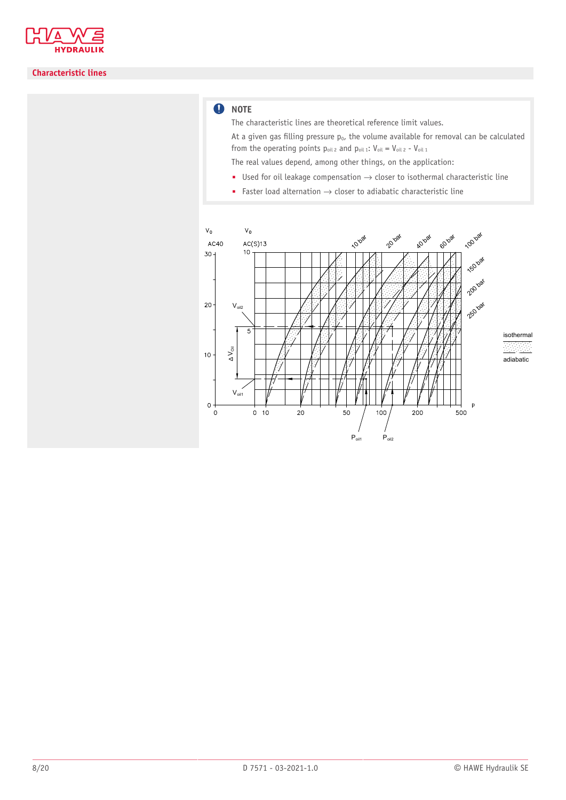

#### **Characteristic lines**

#### **O** NOTE

The characteristic lines are theoretical reference limit values.

At a given gas filling pressure  $p_0$ , the volume available for removal can be calculated from the operating points  $p_{oil 2}$  and  $p_{oil 1}$ :  $V_{oil} = V_{oil 2} - V_{oil 1}$ 

The real values depend, among other things, on the application:

- Used for oil leakage compensation  $\rightarrow$  closer to isothermal characteristic line
- Faster load alternation  $\rightarrow$  closer to adiabatic characteristic line

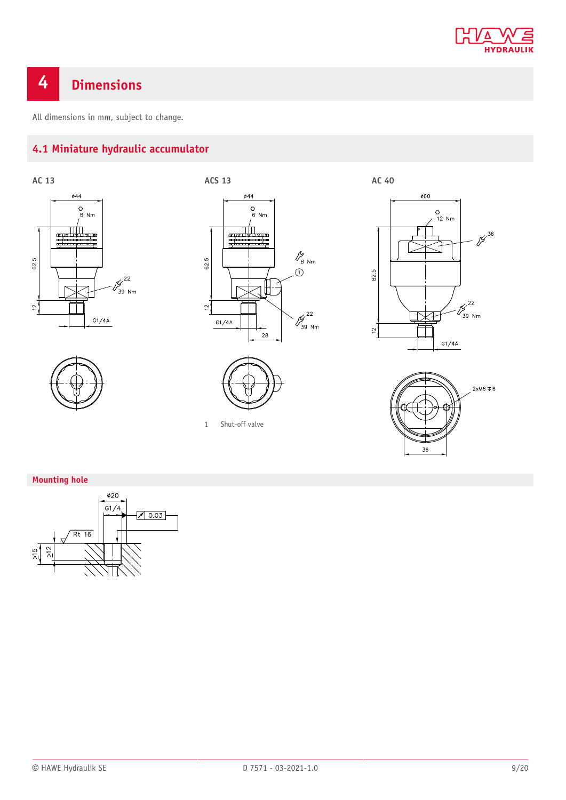

## <span id="page-8-0"></span>**4 Dimensions**

<span id="page-8-1"></span>All dimensions in mm, subject to change.

### **4.1 Miniature hydraulic accumulator**









1 Shut-off valve





#### **Mounting hole**

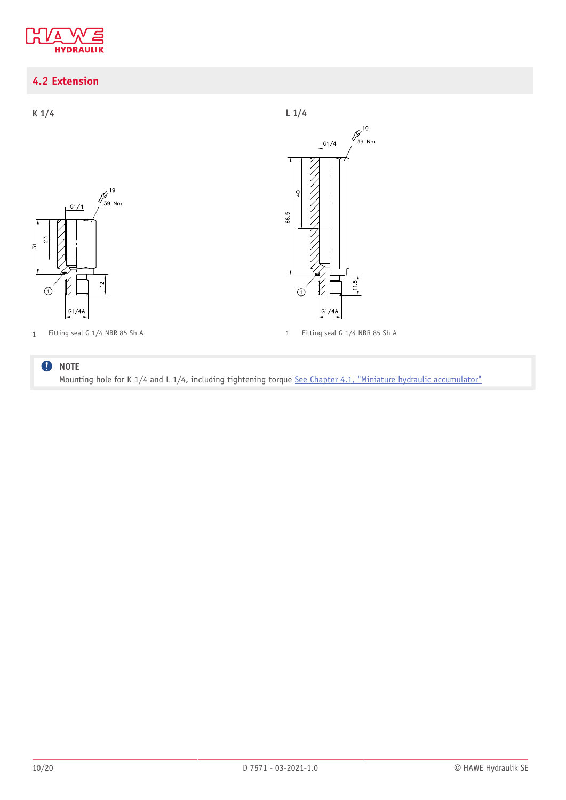

### <span id="page-9-0"></span>**4.2 Extension**



#### **O** NOTE Mounting hole for K 1/4 and L 1/4, including tightening torque [See Chapter 4.1,](#page-8-1) "Miniature hydraulic accumulator"

 $\frac{\cancel{6}^{19}}{39 \text{ Nm}}$ 

 $11.5$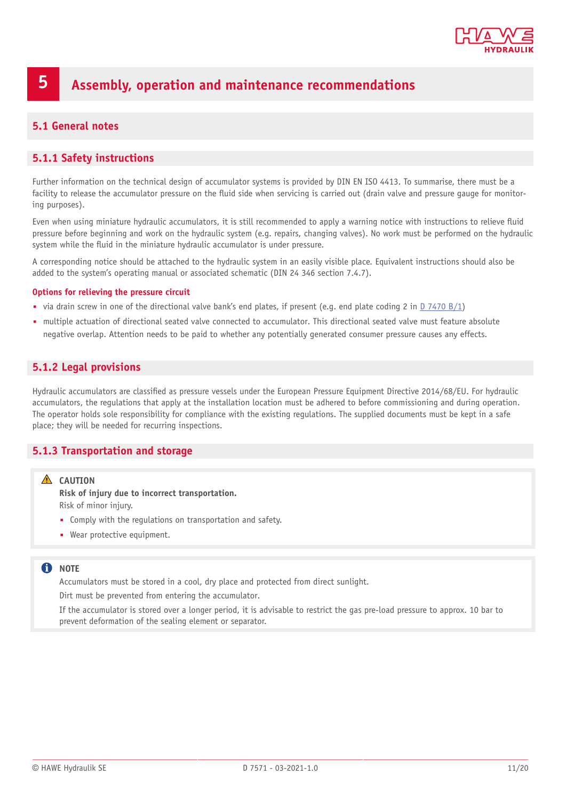

## <span id="page-10-0"></span>**5 Assembly, operation and maintenance recommendations**

#### <span id="page-10-1"></span>**5.1 General notes**

#### <span id="page-10-2"></span>**5.1.1 Safety instructions**

Further information on the technical design of accumulator systems is provided by DIN EN ISO 4413. To summarise, there must be a facility to release the accumulator pressure on the fluid side when servicing is carried out (drain valve and pressure gauge for monitoring purposes).

Even when using miniature hydraulic accumulators, it is still recommended to apply a warning notice with instructions to relieve fluid pressure before beginning and work on the hydraulic system (e.g. repairs, changing valves). No work must be performed on the hydraulic system while the fluid in the miniature hydraulic accumulator is under pressure.

A corresponding notice should be attached to the hydraulic system in an easily visible place. Equivalent instructions should also be added to the system's operating manual or associated schematic (DIN 24 346 section 7.4.7).

#### **Options for relieving the pressure circuit**

- via drain screw in one of the directional valve bank's end plates, if present (e.g. end plate coding 2 in [D 7470 B/1](http://downloads.hawe.com/7/4/D7470B1-en.pdf))
- multiple actuation of directional seated valve connected to accumulator. This directional seated valve must feature absolute negative overlap. Attention needs to be paid to whether any potentially generated consumer pressure causes any effects.

#### <span id="page-10-3"></span>**5.1.2 Legal provisions**

Hydraulic accumulators are classified as pressure vessels under the European Pressure Equipment Directive 2014/68/EU. For hydraulic accumulators, the regulations that apply at the installation location must be adhered to before commissioning and during operation. The operator holds sole responsibility for compliance with the existing regulations. The supplied documents must be kept in a safe place; they will be needed for recurring inspections.

#### <span id="page-10-4"></span>**5.1.3 Transportation and storage**

#### **A** CAUTION

**Risk of injury due to incorrect transportation.** Risk of minor injury.

- Comply with the regulations on transportation and safety.
- Wear protective equipment.

#### **note**

Accumulators must be stored in a cool, dry place and protected from direct sunlight.

Dirt must be prevented from entering the accumulator.

If the accumulator is stored over a longer period, it is advisable to restrict the gas pre-load pressure to approx. 10 bar to prevent deformation of the sealing element or separator.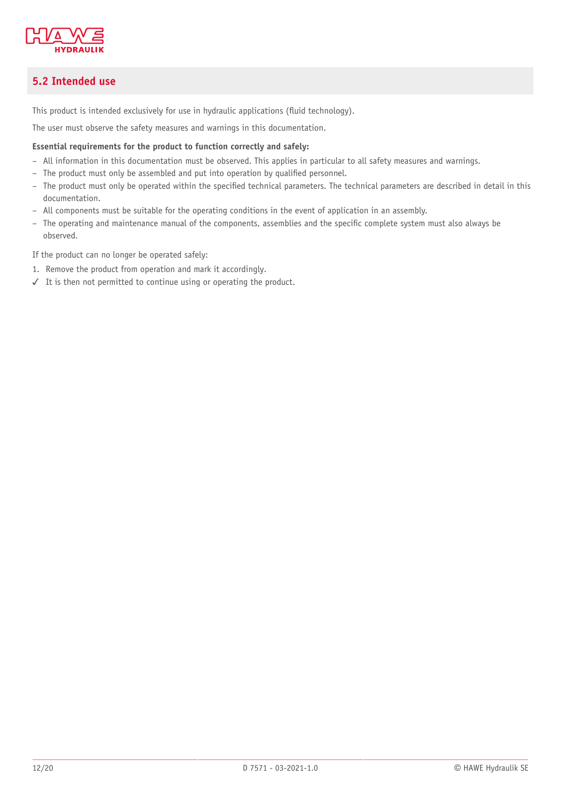

### <span id="page-11-0"></span>**5.2 Intended use**

This product is intended exclusively for use in hydraulic applications (fluid technology).

The user must observe the safety measures and warnings in this documentation.

#### **Essential requirements for the product to function correctly and safely:**

- All information in this documentation must be observed. This applies in particular to all safety measures and warnings.
- The product must only be assembled and put into operation by qualified personnel.
- The product must only be operated within the specified technical parameters. The technical parameters are described in detail in this documentation.
- All components must be suitable for the operating conditions in the event of application in an assembly.
- The operating and maintenance manual of the components, assemblies and the speci'c complete system must also always be observed.

If the product can no longer be operated safely:

- 1. Remove the product from operation and mark it accordingly.
- ✓ It is then not permitted to continue using or operating the product.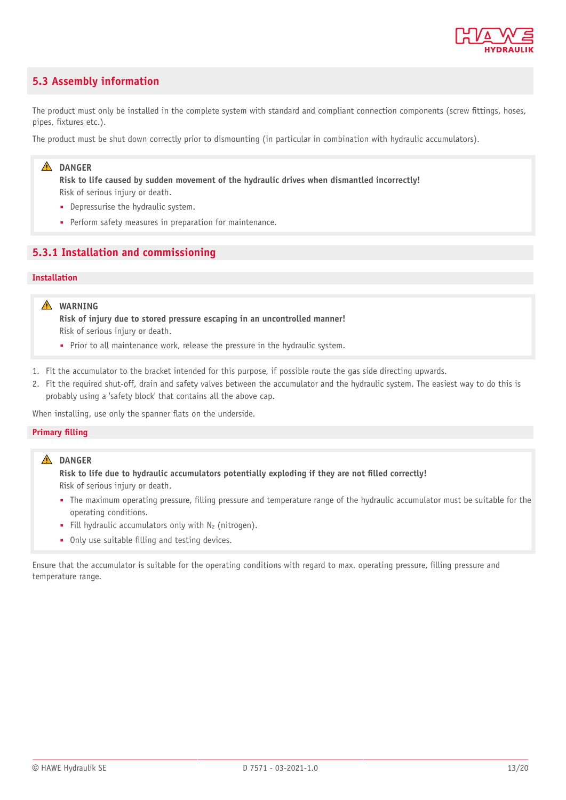

#### <span id="page-12-0"></span>**5.3 Assembly information**

The product must only be installed in the complete system with standard and compliant connection components (screw fittings, hoses, pipes, fixtures etc.).

The product must be shut down correctly prior to dismounting (in particular in combination with hydraulic accumulators).

#### **A** DANGER

**Risk to life caused by sudden movement of the hydraulic drives when dismantled incorrectly!** Risk of serious injury or death.

- Depressurise the hydraulic system.
- Perform safety measures in preparation for maintenance.

#### <span id="page-12-1"></span>**5.3.1 Installation and commissioning**

#### **Installation**

#### **WARNING**

**Risk of injury due to stored pressure escaping in an uncontrolled manner!** Risk of serious injury or death.

- Prior to all maintenance work, release the pressure in the hydraulic system.
- 1. Fit the accumulator to the bracket intended for this purpose, if possible route the gas side directing upwards.
- 2. Fit the required shut-off, drain and safety valves between the accumulator and the hydraulic system. The easiest way to do this is probably using a 'safety block' that contains all the above cap.

When installing, use only the spanner flats on the underside.

#### **Primary filling**

#### **A** DANGER

**Risk to life due to hydraulic accumulators potentially exploding if they are not &lled correctly!** Risk of serious injury or death.

- The maximum operating pressure, 'lling pressure and temperature range of the hydraulic accumulator must be suitable for the operating conditions.
- **•** Fill hydraulic accumulators only with  $N_2$  (nitrogen).
- Only use suitable filling and testing devices.

Ensure that the accumulator is suitable for the operating conditions with regard to max. operating pressure, 'lling pressure and temperature range.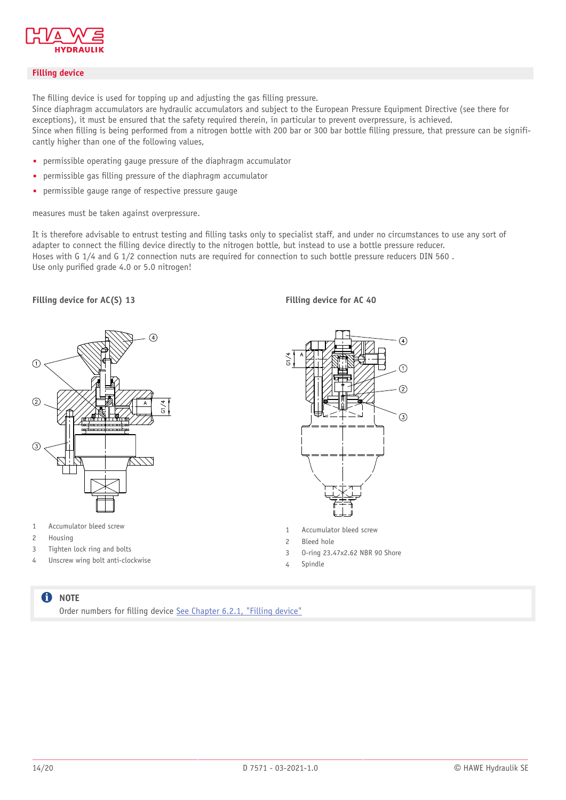

#### **Filling device**

The filling device is used for topping up and adjusting the gas filling pressure.

Since diaphragm accumulators are hydraulic accumulators and subject to the European Pressure Equipment Directive (see there for exceptions), it must be ensured that the safety required therein, in particular to prevent overpressure, is achieved. Since when filling is being performed from a nitrogen bottle with 200 bar or 300 bar bottle filling pressure, that pressure can be significantly higher than one of the following values,

- permissible operating gauge pressure of the diaphragm accumulator
- permissible gas filling pressure of the diaphragm accumulator
- permissible gauge range of respective pressure gauge

measures must be taken against overpressure.

It is therefore advisable to entrust testing and filling tasks only to specialist staff, and under no circumstances to use any sort of adapter to connect the filling device directly to the nitrogen bottle, but instead to use a bottle pressure reducer. Hoses with G 1/4 and G 1/2 connection nuts are required for connection to such bottle pressure reducers DIN 560 . Use only purified grade 4.0 or 5.0 nitrogen!

**Filling device for AC(S) 13 Filling device for AC 40**



- 1 Accumulator bleed screw
- 2 Housing
- 3 Tighten lock ring and bolts
- 4 Unscrew wing bolt anti-clockwise



- 1 Accumulator bleed screw
- 2 Bleed hole
- 3 O-ring 23.47x2.62 NBR 90 Shore
- 4 Spindle

#### **f** NOTE

Order numbers for filling device [See Chapter 6.2.1,](#page-18-1) "Filling device"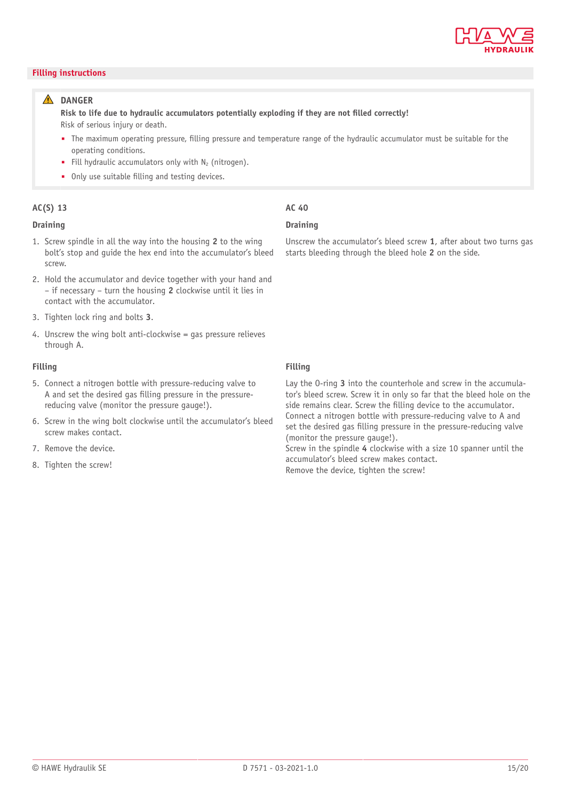

#### **Filling instructions**

#### **A** DANGER

**Risk to life due to hydraulic accumulators potentially exploding if they are not &lled correctly!** Risk of serious injury or death.

- The maximum operating pressure, 'lling pressure and temperature range of the hydraulic accumulator must be suitable for the operating conditions.
- **•** Fill hydraulic accumulators only with  $N_2$  (nitrogen).
- Only use suitable filling and testing devices.

#### **AC(S) 13 AC 40**

#### **Draining Draining**

- 1. Screw spindle in all the way into the housing **2** to the wing bolt's stop and guide the hex end into the accumulator's bleed screw.
- 2. Hold the accumulator and device together with your hand and – if necessary – turn the housing **2** clockwise until it lies in contact with the accumulator.
- 3. Tighten lock ring and bolts **3**.
- 4. Unscrew the wing bolt anti-clockwise = gas pressure relieves through A.

#### **Filling Filling**

- 5. Connect a nitrogen bottle with pressure-reducing valve to A and set the desired gas filling pressure in the pressurereducing valve (monitor the pressure gauge!).
- 6. Screw in the wing bolt clockwise until the accumulator's bleed screw makes contact.
- 7. Remove the device.
- 8. Tighten the screw!

#### Unscrew the accumulator's bleed screw **1**, after about two turns gas starts bleeding through the bleed hole **2** on the side.

Lay the O-ring **3** into the counterhole and screw in the accumulator's bleed screw. Screw it in only so far that the bleed hole on the side remains clear. Screw the filling device to the accumulator. Connect a nitrogen bottle with pressure-reducing valve to A and set the desired gas filling pressure in the pressure-reducing valve (monitor the pressure gauge!).

Screw in the spindle **4** clockwise with a size 10 spanner until the accumulator's bleed screw makes contact.

Remove the device, tighten the screw!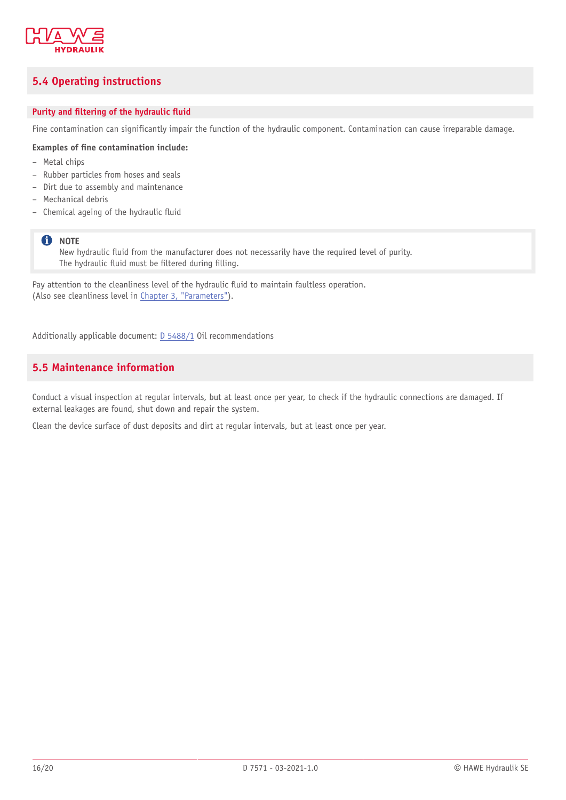

### <span id="page-15-0"></span>**5.4 Operating instructions**

#### **Purity** and **filtering** of the hydraulic fluid

Fine contamination can significantly impair the function of the hydraulic component. Contamination can cause irreparable damage.

#### **Examples of &ne contamination include:**

- Metal chips
- Rubber particles from hoses and seals
- Dirt due to assembly and maintenance
- Mechanical debris
- $-$  Chemical ageing of the hydraulic fluid

#### **f** NOTE

New hydraulic fluid from the manufacturer does not necessarily have the required level of purity. The hydraulic fluid must be filtered during filling.

Pay attention to the cleanliness level of the hydraulic fluid to maintain faultless operation. (Also see cleanliness level in Chapter 3, ["Parameters"](#page-6-0)).

<span id="page-15-1"></span>Additionally applicable document: [D 5488/1](http://downloads.hawe.com/5/4/D54881-en.pdf) Oil recommendations

#### **5.5 Maintenance information**

Conduct a visual inspection at regular intervals, but at least once per year, to check if the hydraulic connections are damaged. If external leakages are found, shut down and repair the system.

Clean the device surface of dust deposits and dirt at regular intervals, but at least once per year.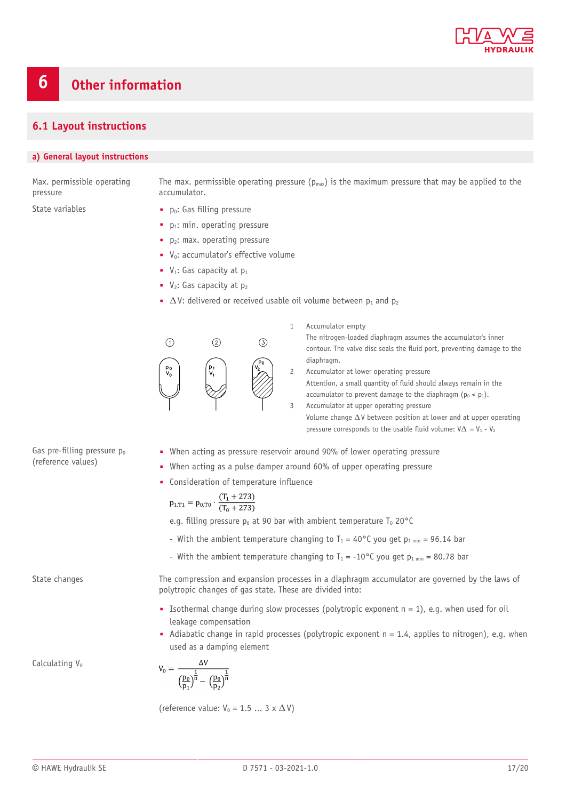

#### <span id="page-16-1"></span><span id="page-16-0"></span>**6.1 Layout instructions**

#### **a) General layout instructions**

Max. permissible operating pressure

The max. permissible operating pressure ( $p_{max}$ ) is the maximum pressure that may be applied to the accumulator.

- State variables  $p_0$ : Gas filling pressure
	- $\blacksquare$  p<sub>1</sub>: min. operating pressure
	- $\blacksquare$  p<sub>2</sub>: max. operating pressure
	- V<sub>0</sub>: accumulator's effective volume
	- $\blacksquare$  V<sub>1</sub>: Gas capacity at  $p_1$
	- $V_2$ : Gas capacity at  $p_2$
	- $\triangle$  V: delivered or received usable oil volume between  $p_1$  and  $p_2$



1 Accumulator empty The nitrogen-loaded diaphragm assumes the accumulator's inner contour. The valve disc seals the fluid port, preventing damage to the diaphragm.

2 Accumulator at lower operating pressure Attention, a small quantity of fluid should always remain in the accumulator to prevent damage to the diaphragm  $(p_0 < p_1)$ . 3 Accumulator at upper operating pressure

Volume change  $\Delta V$  between position at lower and at upper operating pressure corresponds to the usable fluid volume:  $V\Delta = V_1 - V_2$ 

- Gas pre-filling pressure  $p_0$ (reference values)
- When acting as pressure reservoir around 90% of lower operating pressure
- When acting as a pulse damper around 60% of upper operating pressure

• Consideration of temperature influence

$$
p_{1,T1} = p_{0,T0} \cdot \frac{(T_1 + 273)}{(T_0 + 273)}
$$

e.g. filling pressure  $p_0$  at 90 bar with ambient temperature T<sub>0</sub> 20°C

- With the ambient temperature changing to  $T_1 = 40^{\circ}$ C you get  $p_1_{min} = 96.14$  bar
- With the ambient temperature changing to  $T_1 = -10$ °C you get p<sub>1 min</sub> = 80.78 bar

State changes The compression and expansion processes in a diaphragm accumulator are governed by the laws of polytropic changes of gas state. These are divided into:

- **■** Isothermal change during slow processes (polytropic exponent  $n = 1$ ), e.g. when used for oil leakage compensation
- $\blacksquare$  Adiabatic change in rapid processes (polytropic exponent  $n = 1.4$ , applies to nitrogen), e.g. when used as a damping element

Calculating V<sub>0</sub>

$$
V_0=\frac{\Delta V}{\left(\frac{p_0}{p_1}\right)^{\!\!\frac{1}{n}}-\left(\frac{p_0}{p_2}\right)^{\!\!\frac{1}{n}}}
$$

(reference value:  $V_0 = 1.5 ... 3 \times \Delta V$ )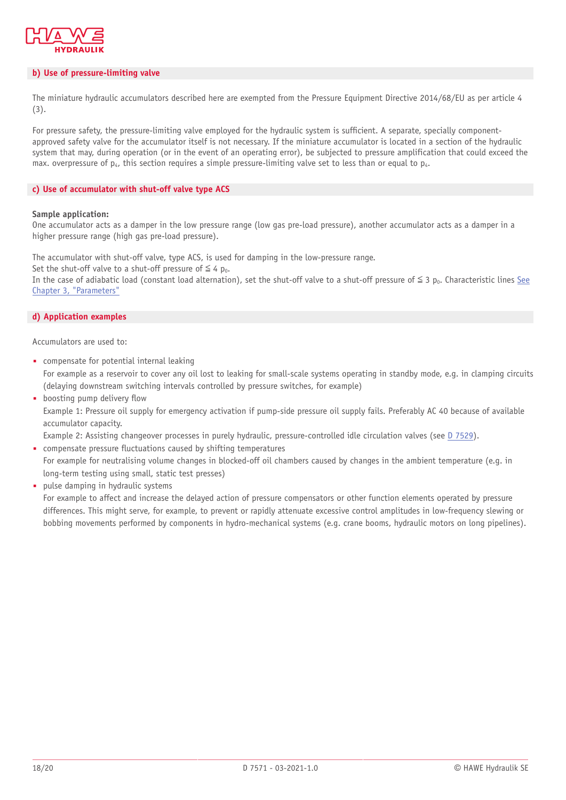

#### **b) Use of pressure-limiting valve**

The miniature hydraulic accumulators described here are exempted from the Pressure Equipment Directive 2014/68/EU as per article 4 (3).

For pressure safety, the pressure-limiting valve employed for the hydraulic system is sufficient. A separate, specially componentapproved safety valve for the accumulator itself is not necessary. If the miniature accumulator is located in a section of the hydraulic system that may, during operation (or in the event of an operating error), be subjected to pressure amplification that could exceed the max. overpressure of  $p_4$ , this section requires a simple pressure-limiting valve set to less than or equal to  $p_4$ .

#### **c) Use of accumulator with shut-off valve type ACS**

#### **Sample application:**

One accumulator acts as a damper in the low pressure range (low gas pre-load pressure), another accumulator acts as a damper in a higher pressure range (high gas pre-load pressure).

The accumulator with shut-off valve, type ACS, is used for damping in the low-pressure range.

Set the shut-off valve to a shut-off pressure of  $\leq 4$  p<sub>0</sub>.

In the case of adiabatic load (constant load alternation), set the shut-off valve to a shut-off pressure of  $\leq 3$  p<sub>0</sub>. Characteristic lines [See](#page-6-0) Chapter 3, ["Parameters"](#page-6-0)

#### **d) Application examples**

Accumulators are used to:

- compensate for potential internal leaking For example as a reservoir to cover any oil lost to leaking for small-scale systems operating in standby mode, e.g. in clamping circuits (delaying downstream switching intervals controlled by pressure switches, for example)
- $\blacksquare$  boosting pump delivery flow Example 1: Pressure oil supply for emergency activation if pump-side pressure oil supply fails. Preferably AC 40 because of available accumulator capacity.

Example 2: Assisting changeover processes in purely hydraulic, pressure-controlled idle circulation valves (see [D 7529](http://downloads.hawe.com/7/5/D7529-en.pdf)).

- compensate pressure fluctuations caused by shifting temperatures For example for neutralising volume changes in blocked-off oil chambers caused by changes in the ambient temperature (e.g. in long-term testing using small, static test presses)
- pulse damping in hydraulic systems

For example to affect and increase the delayed action of pressure compensators or other function elements operated by pressure differences. This might serve, for example, to prevent or rapidly attenuate excessive control amplitudes in low-frequency slewing or bobbing movements performed by components in hydro-mechanical systems (e.g. crane booms, hydraulic motors on long pipelines).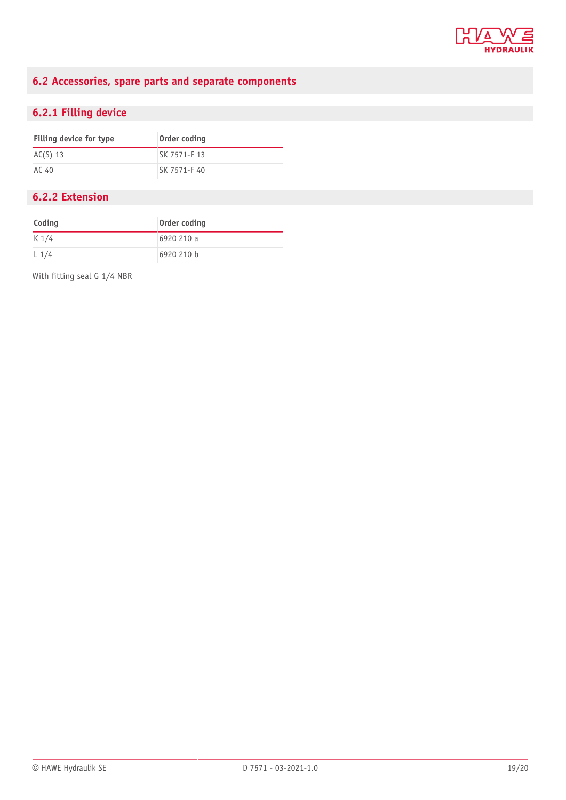

### <span id="page-18-0"></span>**6.2 Accessories, spare parts and separate components**

### <span id="page-18-1"></span>**6.2.1 Filling device**

| Filling device for type | Order coding |
|-------------------------|--------------|
| $AC(S)$ 13              | SK 7571-F 13 |
| AC 40                   | SK 7571-F 40 |

### <span id="page-18-2"></span>**6.2.2 Extension**

| Coding  | Order coding |
|---------|--------------|
| $K$ 1/4 | 6920 210 a   |
| L1/4    | 6920 210 b   |

With fitting seal G 1/4 NBR